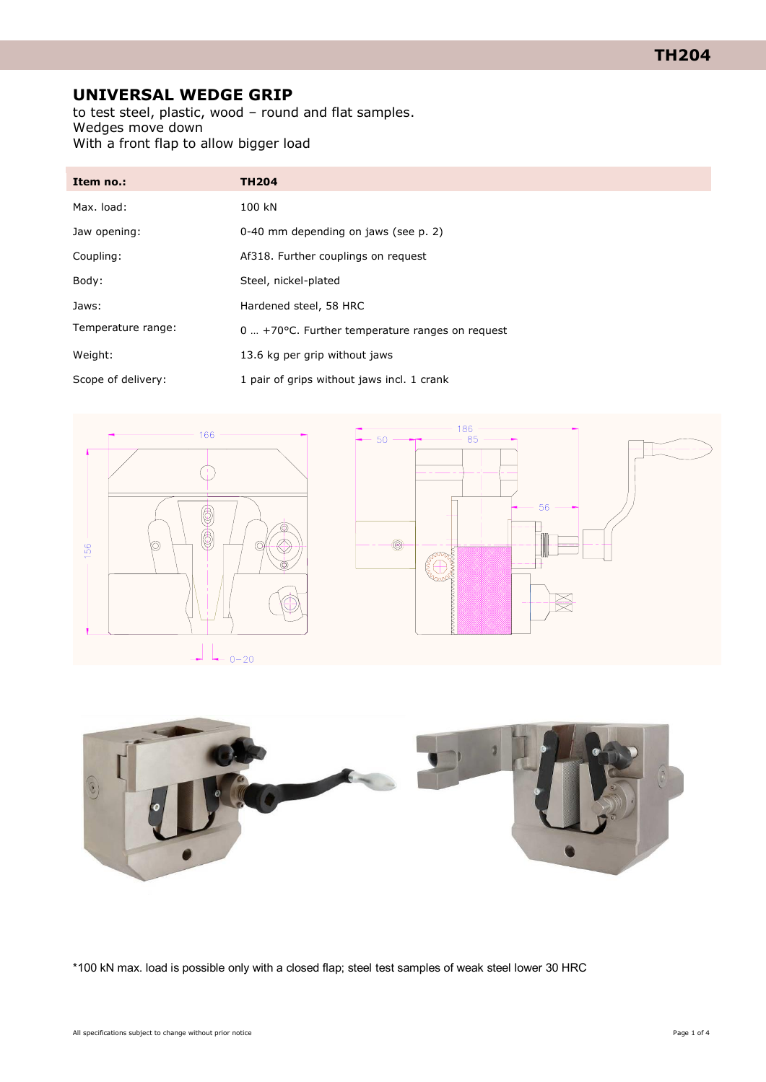# **UNIVERSAL WEDGE GRIP**

to test steel, plastic, wood – round and flat samples. Wedges move down With a front flap to allow bigger load

| Item no.:          | <b>TH204</b>                                       |
|--------------------|----------------------------------------------------|
| Max. load:         | 100 kN                                             |
| Jaw opening:       | 0-40 mm depending on jaws (see p. 2)               |
| Coupling:          | Af318. Further couplings on request                |
| Body:              | Steel, nickel-plated                               |
| Jaws:              | Hardened steel, 58 HRC                             |
| Temperature range: | $0 + 70$ °C. Further temperature ranges on request |
| Weight:            | 13.6 kg per grip without jaws                      |
| Scope of delivery: | 1 pair of grips without jaws incl. 1 crank         |







\*100 kN max. load is possible only with a closed flap; steel test samples of weak steel lower 30 HRC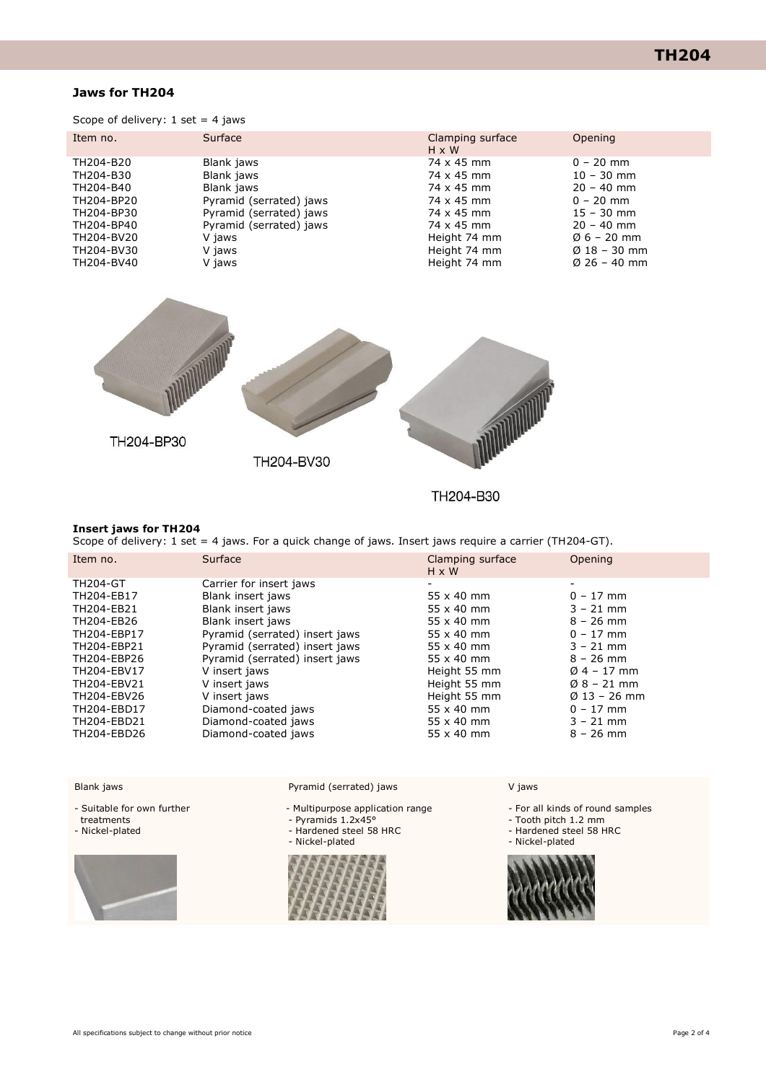## **TH204**

## **Jaws for TH204**

Scope of delivery:  $1$  set = 4 jaws

| Item no.   | Surface                 | Clamping surface<br>$H \times W$ | Opening                  |
|------------|-------------------------|----------------------------------|--------------------------|
| TH204-B20  | Blank jaws              | 74 x 45 mm                       | $0 - 20$ mm              |
| TH204-B30  | Blank jaws              | 74 x 45 mm                       | $10 - 30$ mm             |
| TH204-B40  | Blank jaws              | 74 x 45 mm                       | $20 - 40$ mm             |
| TH204-BP20 | Pyramid (serrated) jaws | 74 x 45 mm                       | $0 - 20$ mm              |
| TH204-BP30 | Pyramid (serrated) jaws | 74 x 45 mm                       | $15 - 30$ mm             |
| TH204-BP40 | Pyramid (serrated) jaws | 74 x 45 mm                       | $20 - 40$ mm             |
| TH204-BV20 | V jaws                  | Height 74 mm                     | $\emptyset$ 6 – 20 mm    |
| TH204-BV30 | V jaws                  | Height 74 mm                     | $\varnothing$ 18 – 30 mm |
| TH204-BV40 | V jaws                  | Height 74 mm                     | $\varnothing$ 26 – 40 mm |



TH204-B30

#### **Insert jaws for TH204**

Scope of delivery: 1 set = 4 jaws. For a quick change of jaws. Insert jaws require a carrier (TH204-GT).

| Item no.        | Surface                        | Clamping surface<br>$H \times W$ | Opening                  |
|-----------------|--------------------------------|----------------------------------|--------------------------|
| <b>TH204-GT</b> | Carrier for insert jaws        | $\overline{\phantom{a}}$         | -                        |
| TH204-EB17      | Blank insert jaws              | $55 \times 40$ mm                | $0 - 17$ mm              |
| TH204-EB21      | Blank insert jaws              | $55 \times 40$ mm                | $3 - 21$ mm              |
| TH204-EB26      | Blank insert jaws              | $55 \times 40$ mm                | $8 - 26$ mm              |
| TH204-EBP17     | Pyramid (serrated) insert jaws | $55 \times 40$ mm                | $0 - 17$ mm              |
| TH204-EBP21     | Pyramid (serrated) insert jaws | $55 \times 40$ mm                | $3 - 21$ mm              |
| TH204-EBP26     | Pyramid (serrated) insert jaws | $55 \times 40$ mm                | $8 - 26$ mm              |
| TH204-EBV17     | V insert jaws                  | Height 55 mm                     | $04 - 17$ mm             |
| TH204-EBV21     | V insert jaws                  | Height 55 mm                     | $08 - 21$ mm             |
| TH204-EBV26     | V insert jaws                  | Height 55 mm                     | $\varnothing$ 13 – 26 mm |
| TH204-EBD17     | Diamond-coated jaws            | $55 \times 40$ mm                | $0 - 17$ mm              |
| TH204-EBD21     | Diamond-coated jaws            | $55 \times 40$ mm                | $3 - 21$ mm              |
| TH204-EBD26     | Diamond-coated jaws            | $55 \times 40$ mm                | $8 - 26$ mm              |

Blank jaws

- Suitable for own further

treatments

- Nickel-plated



Pyramid (serrated) jaws

- Multipurpose application range
- Pyramids 1.2x45°
- Hardened steel 58 HRC
- Nickel-plated



V jaws

- For all kinds of round samples

- Tooth pitch 1.2 mm

- Hardened steel 58 HRC
- Nickel-plated
- 

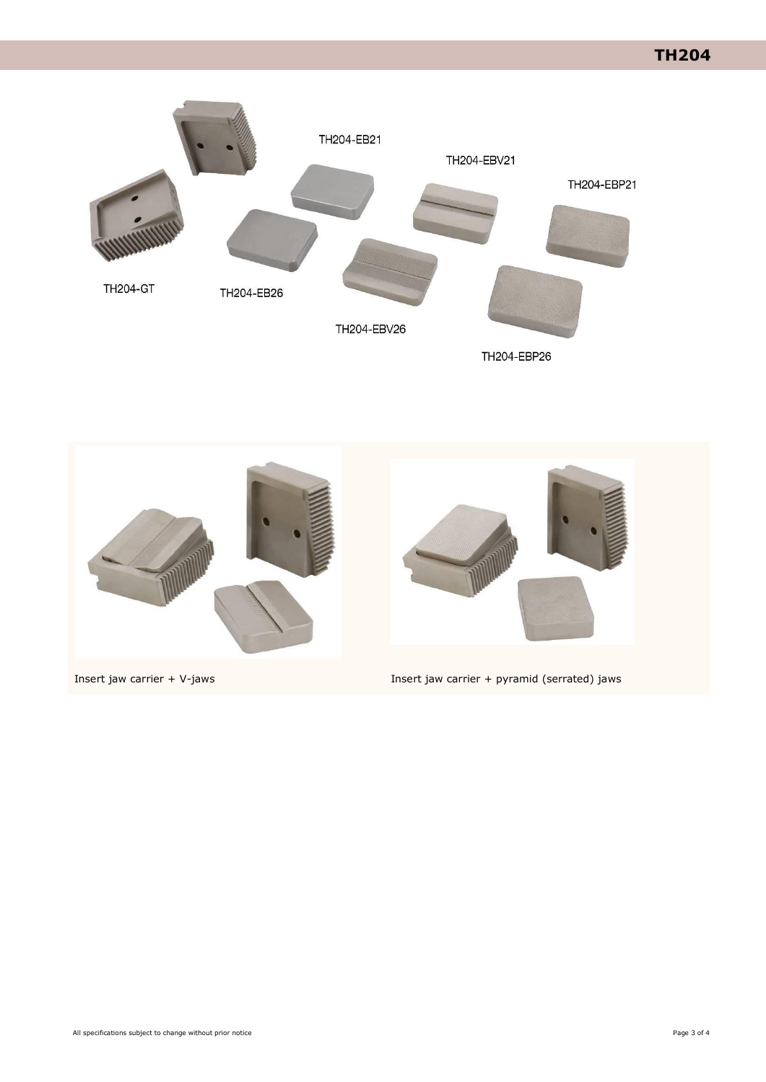**TH204**





Insert jaw carrier + V-jaws Insert jaw carrier + pyramid (serrated) jaws